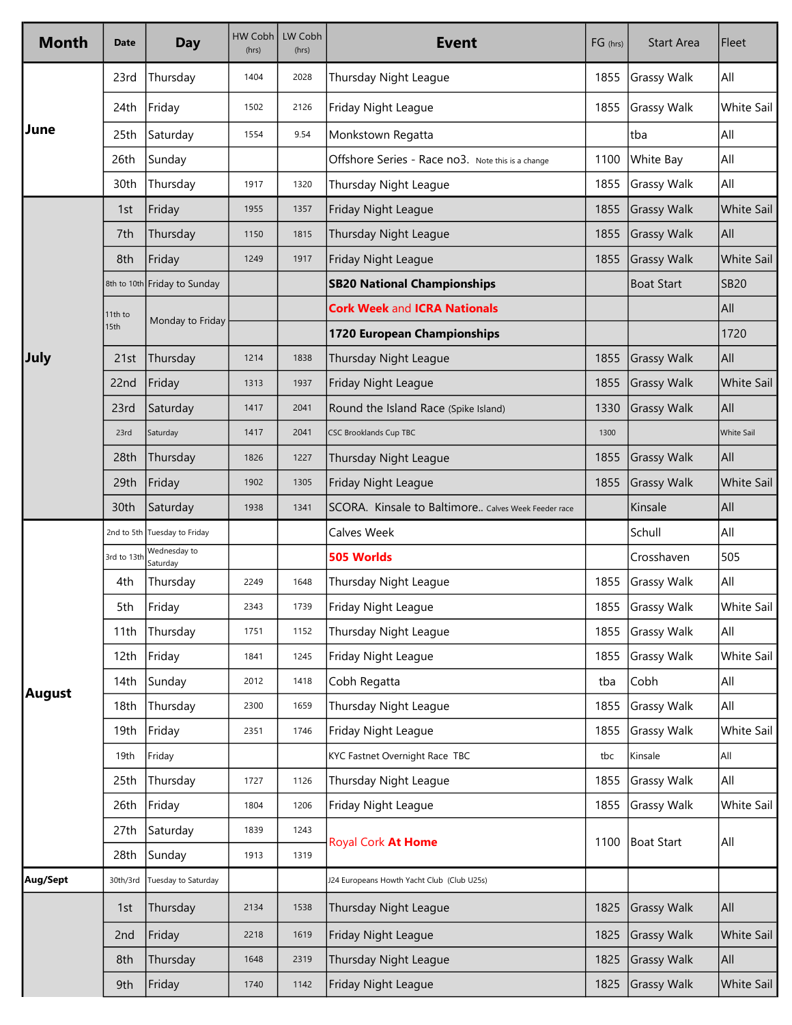| <b>Month</b> | Date            | <b>Day</b>                   | HW Cobh<br>(hrs) | LW Cobh<br>(hrs) | <b>Event</b>                                        | FG (hrs) | <b>Start Area</b>  | Fleet             |
|--------------|-----------------|------------------------------|------------------|------------------|-----------------------------------------------------|----------|--------------------|-------------------|
| June         | 23rd            | Thursday                     | 1404             | 2028             | Thursday Night League                               | 1855     | <b>Grassy Walk</b> | All               |
|              | 24th            | Friday                       | 1502             | 2126             | Friday Night League                                 | 1855     | Grassy Walk        | White Sail        |
|              | 25th            | Saturday                     | 1554             | 9.54             | Monkstown Regatta                                   |          | tba                | All               |
|              | 26th            | Sunday                       |                  |                  | Offshore Series - Race no3. Note this is a change   | 1100     | White Bay          | All               |
|              | 30th            | Thursday                     | 1917             | 1320             | Thursday Night League                               | 1855     | <b>Grassy Walk</b> | All               |
| July         | 1st             | Friday                       | 1955             | 1357             | Friday Night League                                 | 1855     | Grassy Walk        | White Sail        |
|              | 7th             | Thursday                     | 1150             | 1815             | Thursday Night League                               | 1855     | Grassy Walk        | All               |
|              | 8th             | Friday                       | 1249             | 1917             | Friday Night League                                 | 1855     | Grassy Walk        | <b>White Sail</b> |
|              |                 | 8th to 10th Friday to Sunday |                  |                  | <b>SB20 National Championships</b>                  |          | <b>Boat Start</b>  | <b>SB20</b>       |
|              | 11th to<br>15th | Monday to Friday             |                  |                  | <b>Cork Week and ICRA Nationals</b>                 |          |                    | All               |
|              |                 |                              |                  |                  | 1720 European Championships                         |          |                    | 1720              |
|              | 21st            | Thursday                     | 1214             | 1838             | Thursday Night League                               | 1855     | <b>Grassy Walk</b> | All               |
|              | 22nd            | Friday                       | 1313             | 1937             | Friday Night League                                 | 1855     | Grassy Walk        | <b>White Sail</b> |
|              | 23rd            | Saturday                     | 1417             | 2041             | Round the Island Race (Spike Island)                | 1330     | <b>Grassy Walk</b> | All               |
|              | 23rd            | Saturday                     | 1417             | 2041             | <b>CSC Brooklands Cup TBC</b>                       | 1300     |                    | <b>White Sail</b> |
|              | 28th            | Thursday                     | 1826             | 1227             | Thursday Night League                               | 1855     | Grassy Walk        | All               |
|              | 29th            | Friday                       | 1902             | 1305             | Friday Night League                                 | 1855     | Grassy Walk        | White Sail        |
|              | 30th            | Saturday                     | 1938             | 1341             | SCORA. Kinsale to Baltimore Calves Week Feeder race |          | Kinsale            | All               |
| August       |                 | 2nd to 5th Tuesday to Friday |                  |                  | Calves Week                                         |          | Schull             | All               |
|              | 3rd to 13th     | Wednesday to<br>Saturday     |                  |                  | 505 Worlds                                          |          | Crosshaven         | 505               |
|              | 4th             | Thursday                     | 2249             | 1648             | Thursday Night League                               | 1855     | Grassy Walk        | All               |
|              | 5th             | Friday                       | 2343             | 1739             | Friday Night League                                 | 1855     | Grassy Walk        | White Sail        |
|              | 11th            | Thursday                     | 1751             | 1152             | Thursday Night League                               | 1855     | <b>Grassy Walk</b> | All               |
|              | 12th            | Friday                       | 1841             | 1245             | Friday Night League                                 | 1855     | <b>Grassy Walk</b> | White Sail        |
|              | 14th            | Sunday                       | 2012             | 1418             | Cobh Regatta                                        | tba      | Cobh               | All               |
|              | 18th            | Thursday                     | 2300             | 1659             | Thursday Night League                               | 1855     | <b>Grassy Walk</b> | All               |
|              | 19th            | Friday                       | 2351             | 1746             | Friday Night League                                 | 1855     | <b>Grassy Walk</b> | White Sail        |
|              | 19th            | Friday                       |                  |                  | KYC Fastnet Overnight Race TBC                      | tbc      | Kinsale            | All               |
|              | 25th            | Thursday                     | 1727             | 1126             | Thursday Night League                               | 1855     | <b>Grassy Walk</b> | All               |
|              | 26th            | Friday                       | 1804             | 1206             | Friday Night League                                 | 1855     | <b>Grassy Walk</b> | White Sail        |
|              | 27th            | Saturday                     | 1839             | 1243             | Royal Cork At Home                                  | 1100     | Boat Start         | All               |
|              | 28th            | Sunday                       | 1913             | 1319             |                                                     |          |                    |                   |
| Aug/Sept     | 30th/3rd        | Tuesday to Saturday          |                  |                  | J24 Europeans Howth Yacht Club (Club U25s)          |          |                    |                   |
|              | 1st             | Thursday                     | 2134             | 1538             | Thursday Night League                               | 1825     | Grassy Walk        | All               |
|              | 2nd             | Friday                       | 2218             | 1619             | Friday Night League                                 | 1825     | Grassy Walk        | White Sail        |
|              | 8th             | Thursday                     | 1648             | 2319             | Thursday Night League                               | 1825     | Grassy Walk        | All               |
|              | 9th             | Friday                       | 1740             | 1142             | Friday Night League                                 | 1825     | <b>Grassy Walk</b> | White Sail        |